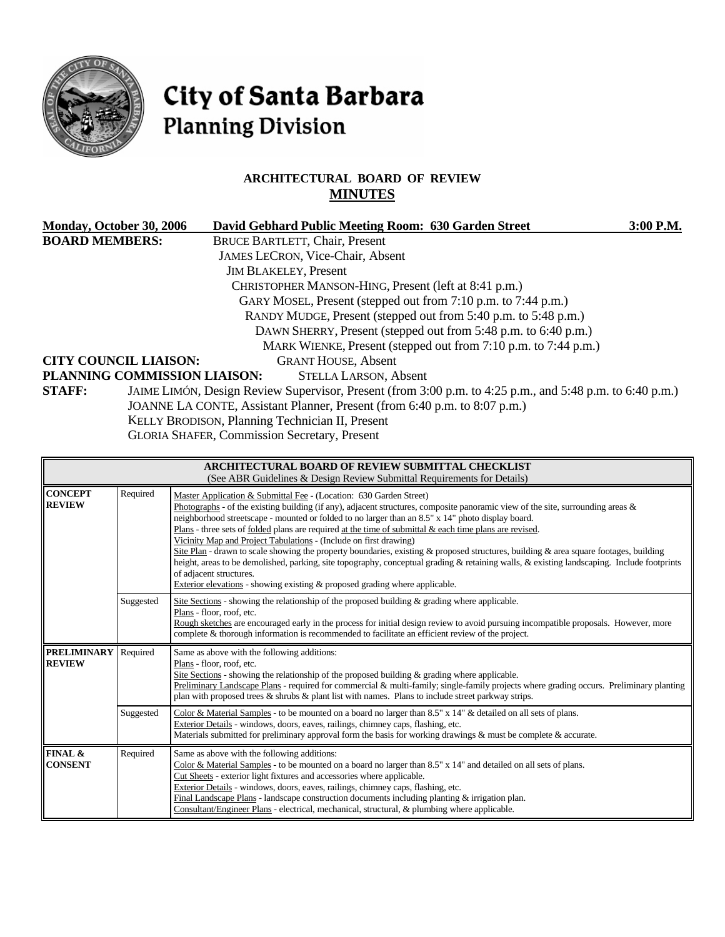

# City of Santa Barbara **Planning Division**

# **ARCHITECTURAL BOARD OF REVIEW MINUTES**

|                       | Monday, October 30, 2006     | David Gebhard Public Meeting Room: 630 Garden Street                                                     | 3:00 P.M. |
|-----------------------|------------------------------|----------------------------------------------------------------------------------------------------------|-----------|
| <b>BOARD MEMBERS:</b> |                              | <b>BRUCE BARTLETT, Chair, Present</b>                                                                    |           |
|                       |                              | <b>JAMES LECRON, Vice-Chair, Absent</b>                                                                  |           |
|                       |                              | <b>JIM BLAKELEY, Present</b>                                                                             |           |
|                       |                              | CHRISTOPHER MANSON-HING, Present (left at 8:41 p.m.)                                                     |           |
|                       |                              | GARY MOSEL, Present (stepped out from 7:10 p.m. to 7:44 p.m.)                                            |           |
|                       |                              | RANDY MUDGE, Present (stepped out from 5:40 p.m. to 5:48 p.m.)                                           |           |
|                       |                              | DAWN SHERRY, Present (stepped out from 5:48 p.m. to 6:40 p.m.)                                           |           |
|                       |                              | MARK WIENKE, Present (stepped out from 7:10 p.m. to 7:44 p.m.)                                           |           |
|                       | <b>CITY COUNCIL LIAISON:</b> | <b>GRANT HOUSE, Absent</b>                                                                               |           |
|                       | PLANNING COMMISSION LIAISON: | <b>STELLA LARSON, Absent</b>                                                                             |           |
| <b>STAFF:</b>         |                              | JAIME LIMÓN, Design Review Supervisor, Present (from 3:00 p.m. to 4:25 p.m., and 5:48 p.m. to 6:40 p.m.) |           |
|                       |                              | JOANNE LA CONTE, Assistant Planner, Present (from 6:40 p.m. to 8:07 p.m.)                                |           |
|                       |                              | KELLY BRODISON, Planning Technician II, Present                                                          |           |
|                       |                              | CLODIA CITATED Commission Cognatory Dressort                                                             |           |

GLORIA SHAFER, Commission Secretary, Present

| <b>ARCHITECTURAL BOARD OF REVIEW SUBMITTAL CHECKLIST</b><br>(See ABR Guidelines & Design Review Submittal Requirements for Details) |           |                                                                                                                                                                                                                                                                                                                                                                                                                                                                                                                                                                                                                                                                                                                                                                                                                                                                     |  |  |  |  |
|-------------------------------------------------------------------------------------------------------------------------------------|-----------|---------------------------------------------------------------------------------------------------------------------------------------------------------------------------------------------------------------------------------------------------------------------------------------------------------------------------------------------------------------------------------------------------------------------------------------------------------------------------------------------------------------------------------------------------------------------------------------------------------------------------------------------------------------------------------------------------------------------------------------------------------------------------------------------------------------------------------------------------------------------|--|--|--|--|
| <b>CONCEPT</b><br>Required<br><b>REVIEW</b><br>of adjacent structures.                                                              |           | Master Application & Submittal Fee - (Location: 630 Garden Street)<br>Photographs - of the existing building (if any), adjacent structures, composite panoramic view of the site, surrounding areas $\&$<br>neighborhood streetscape - mounted or folded to no larger than an 8.5" x 14" photo display board.<br>Plans - three sets of folded plans are required at the time of submittal & each time plans are revised.<br>Vicinity Map and Project Tabulations - (Include on first drawing)<br>Site Plan - drawn to scale showing the property boundaries, existing & proposed structures, building & area square footages, building<br>height, areas to be demolished, parking, site topography, conceptual grading & retaining walls, & existing landscaping. Include footprints<br>Exterior elevations - showing existing & proposed grading where applicable. |  |  |  |  |
|                                                                                                                                     | Suggested | Site Sections - showing the relationship of the proposed building $\&$ grading where applicable.<br>Plans - floor, roof, etc.<br>Rough sketches are encouraged early in the process for initial design review to avoid pursuing incompatible proposals. However, more<br>complete & thorough information is recommended to facilitate an efficient review of the project.                                                                                                                                                                                                                                                                                                                                                                                                                                                                                           |  |  |  |  |
| <b>PRELIMINARY</b><br><b>REVIEW</b>                                                                                                 | Required  | Same as above with the following additions:<br>Plans - floor, roof, etc.<br>Site Sections - showing the relationship of the proposed building $\&$ grading where applicable.<br>Preliminary Landscape Plans - required for commercial & multi-family; single-family projects where grading occurs. Preliminary planting<br>plan with proposed trees & shrubs & plant list with names. Plans to include street parkway strips.                                                                                                                                                                                                                                                                                                                                                                                                                                       |  |  |  |  |
|                                                                                                                                     | Suggested | Color & Material Samples - to be mounted on a board no larger than 8.5" x 14" & detailed on all sets of plans.<br>Exterior Details - windows, doors, eaves, railings, chimney caps, flashing, etc.<br>Materials submitted for preliminary approval form the basis for working drawings $\&$ must be complete $\&$ accurate.                                                                                                                                                                                                                                                                                                                                                                                                                                                                                                                                         |  |  |  |  |
| <b>FINAL &amp;</b><br><b>CONSENT</b>                                                                                                | Required  | Same as above with the following additions:<br>Color & Material Samples - to be mounted on a board no larger than $8.5"$ x 14" and detailed on all sets of plans.<br>Cut Sheets - exterior light fixtures and accessories where applicable.<br>Exterior Details - windows, doors, eaves, railings, chimney caps, flashing, etc.<br>Final Landscape Plans - landscape construction documents including planting $\&$ irrigation plan.<br>Consultant/Engineer Plans - electrical, mechanical, structural, & plumbing where applicable.                                                                                                                                                                                                                                                                                                                                |  |  |  |  |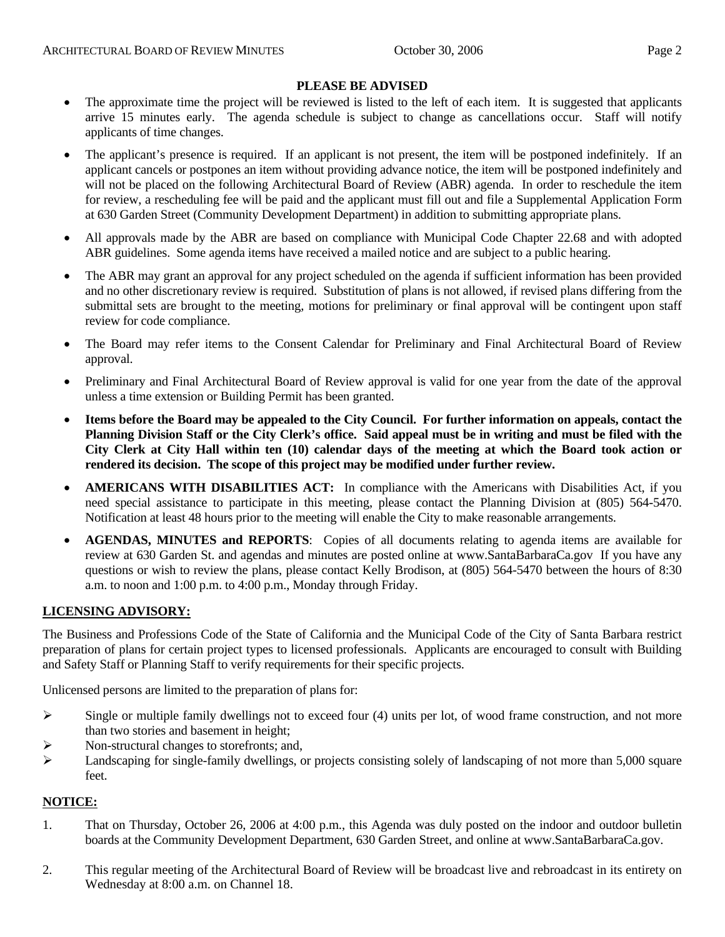#### **PLEASE BE ADVISED**

- The approximate time the project will be reviewed is listed to the left of each item. It is suggested that applicants arrive 15 minutes early. The agenda schedule is subject to change as cancellations occur. Staff will notify applicants of time changes.
- The applicant's presence is required. If an applicant is not present, the item will be postponed indefinitely. If an applicant cancels or postpones an item without providing advance notice, the item will be postponed indefinitely and will not be placed on the following Architectural Board of Review (ABR) agenda. In order to reschedule the item for review, a rescheduling fee will be paid and the applicant must fill out and file a Supplemental Application Form at 630 Garden Street (Community Development Department) in addition to submitting appropriate plans.
- All approvals made by the ABR are based on compliance with Municipal Code Chapter 22.68 and with adopted ABR guidelines. Some agenda items have received a mailed notice and are subject to a public hearing.
- The ABR may grant an approval for any project scheduled on the agenda if sufficient information has been provided and no other discretionary review is required. Substitution of plans is not allowed, if revised plans differing from the submittal sets are brought to the meeting, motions for preliminary or final approval will be contingent upon staff review for code compliance.
- The Board may refer items to the Consent Calendar for Preliminary and Final Architectural Board of Review approval.
- Preliminary and Final Architectural Board of Review approval is valid for one year from the date of the approval unless a time extension or Building Permit has been granted.
- **Items before the Board may be appealed to the City Council. For further information on appeals, contact the Planning Division Staff or the City Clerk's office. Said appeal must be in writing and must be filed with the City Clerk at City Hall within ten (10) calendar days of the meeting at which the Board took action or rendered its decision. The scope of this project may be modified under further review.**
- **AMERICANS WITH DISABILITIES ACT:** In compliance with the Americans with Disabilities Act, if you need special assistance to participate in this meeting, please contact the Planning Division at (805) 564-5470. Notification at least 48 hours prior to the meeting will enable the City to make reasonable arrangements.
- **AGENDAS, MINUTES and REPORTS**: Copies of all documents relating to agenda items are available for review at 630 Garden St. and agendas and minutes are posted online at [www.SantaBarbaraCa.gov](http://www.santabarbaraca.gov/) If you have any questions or wish to review the plans, please contact Kelly Brodison, at (805) 564-5470 between the hours of 8:30 a.m. to noon and 1:00 p.m. to 4:00 p.m., Monday through Friday.

# **LICENSING ADVISORY:**

The Business and Professions Code of the State of California and the Municipal Code of the City of Santa Barbara restrict preparation of plans for certain project types to licensed professionals. Applicants are encouraged to consult with Building and Safety Staff or Planning Staff to verify requirements for their specific projects.

Unlicensed persons are limited to the preparation of plans for:

- $\triangleright$  Single or multiple family dwellings not to exceed four (4) units per lot, of wood frame construction, and not more than two stories and basement in height;
- ¾ Non-structural changes to storefronts; and,
- ¾ Landscaping for single-family dwellings, or projects consisting solely of landscaping of not more than 5,000 square feet.

#### **NOTICE:**

- 1. That on Thursday, October 26, 2006 at 4:00 p.m., this Agenda was duly posted on the indoor and outdoor bulletin boards at the Community Development Department, 630 Garden Street, and online at www.SantaBarbaraCa.gov.
- 2. This regular meeting of the Architectural Board of Review will be broadcast live and rebroadcast in its entirety on Wednesday at 8:00 a.m. on Channel 18.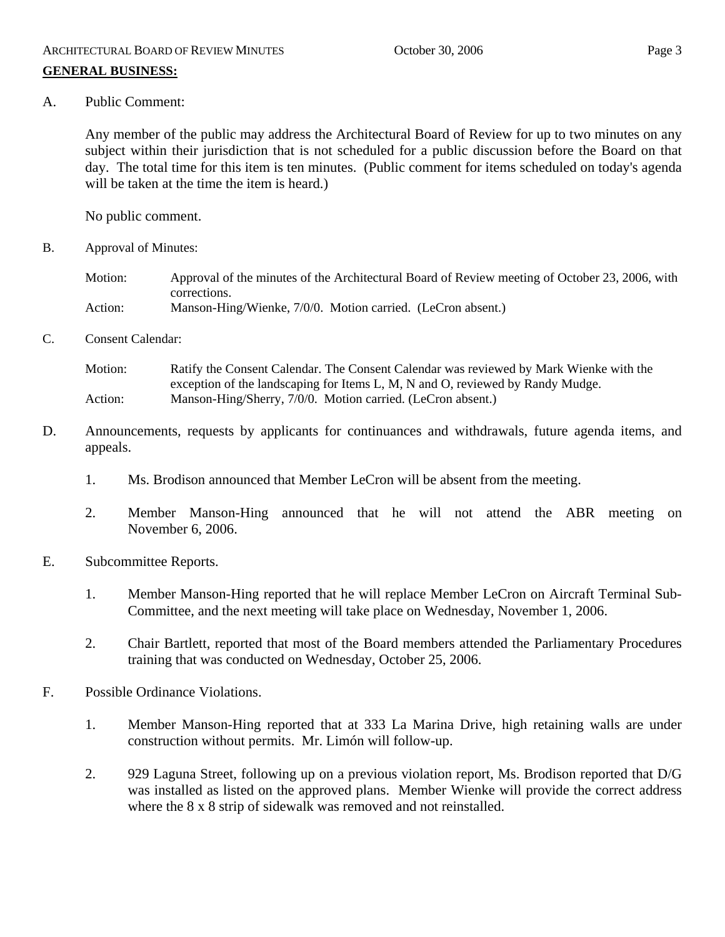A. Public Comment:

Any member of the public may address the Architectural Board of Review for up to two minutes on any subject within their jurisdiction that is not scheduled for a public discussion before the Board on that day. The total time for this item is ten minutes. (Public comment for items scheduled on today's agenda will be taken at the time the item is heard.)

No public comment.

- B. Approval of Minutes:
	- Motion: Approval of the minutes of the Architectural Board of Review meeting of October 23, 2006, with corrections. Action: Manson-Hing/Wienke, 7/0/0. Motion carried. (LeCron absent.)
- C. Consent Calendar:

Motion: Ratify the Consent Calendar. The Consent Calendar was reviewed by Mark Wienke with the exception of the landscaping for Items L, M, N and O, reviewed by Randy Mudge. Action: Manson-Hing/Sherry, 7/0/0. Motion carried. (LeCron absent.)

- D. Announcements, requests by applicants for continuances and withdrawals, future agenda items, and appeals.
	- 1. Ms. Brodison announced that Member LeCron will be absent from the meeting.
	- 2. Member Manson-Hing announced that he will not attend the ABR meeting on November 6, 2006.
- E. Subcommittee Reports.
	- 1. Member Manson-Hing reported that he will replace Member LeCron on Aircraft Terminal Sub-Committee, and the next meeting will take place on Wednesday, November 1, 2006.
	- 2. Chair Bartlett, reported that most of the Board members attended the Parliamentary Procedures training that was conducted on Wednesday, October 25, 2006.
- F. Possible Ordinance Violations.
	- 1. Member Manson-Hing reported that at 333 La Marina Drive, high retaining walls are under construction without permits. Mr. Limón will follow-up.
	- 2. 929 Laguna Street, following up on a previous violation report, Ms. Brodison reported that D/G was installed as listed on the approved plans. Member Wienke will provide the correct address where the 8 x 8 strip of sidewalk was removed and not reinstalled.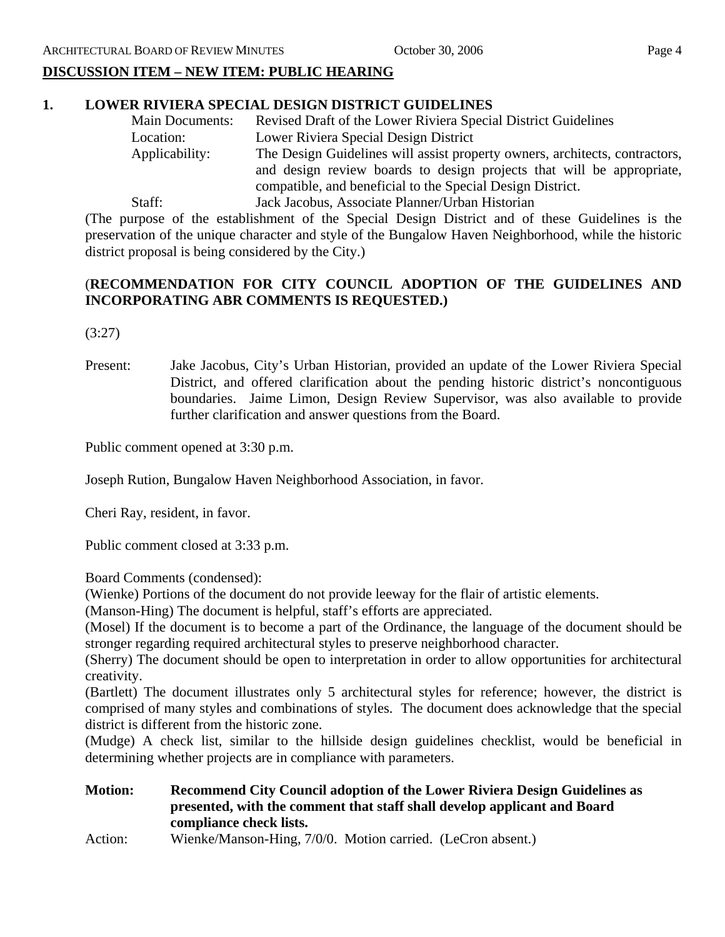# **DISCUSSION ITEM – NEW ITEM: PUBLIC HEARING**

# **1. LOWER RIVIERA SPECIAL DESIGN DISTRICT GUIDELINES**

| <b>Main Documents:</b> | Revised Draft of the Lower Riviera Special District Guidelines              |  |
|------------------------|-----------------------------------------------------------------------------|--|
| Location:              | Lower Riviera Special Design District                                       |  |
| Applicability:         | The Design Guidelines will assist property owners, architects, contractors, |  |
|                        | and design review boards to design projects that will be appropriate,       |  |
|                        | compatible, and beneficial to the Special Design District.                  |  |
| Staff:                 | Jack Jacobus, Associate Planner/Urban Historian                             |  |

 (The purpose of the establishment of the Special Design District and of these Guidelines is the preservation of the unique character and style of the Bungalow Haven Neighborhood, while the historic district proposal is being considered by the City.)

# (**RECOMMENDATION FOR CITY COUNCIL ADOPTION OF THE GUIDELINES AND INCORPORATING ABR COMMENTS IS REQUESTED.)**

(3:27)

Present: Jake Jacobus, City's Urban Historian, provided an update of the Lower Riviera Special District, and offered clarification about the pending historic district's noncontiguous boundaries. Jaime Limon, Design Review Supervisor, was also available to provide further clarification and answer questions from the Board.

Public comment opened at 3:30 p.m.

Joseph Rution, Bungalow Haven Neighborhood Association, in favor.

Cheri Ray, resident, in favor.

Public comment closed at 3:33 p.m.

Board Comments (condensed):

(Wienke) Portions of the document do not provide leeway for the flair of artistic elements.

(Manson-Hing) The document is helpful, staff's efforts are appreciated.

(Mosel) If the document is to become a part of the Ordinance, the language of the document should be stronger regarding required architectural styles to preserve neighborhood character.

(Sherry) The document should be open to interpretation in order to allow opportunities for architectural creativity.

(Bartlett) The document illustrates only 5 architectural styles for reference; however, the district is comprised of many styles and combinations of styles. The document does acknowledge that the special district is different from the historic zone.

(Mudge) A check list, similar to the hillside design guidelines checklist, would be beneficial in determining whether projects are in compliance with parameters.

**Motion: Recommend City Council adoption of the Lower Riviera Design Guidelines as presented, with the comment that staff shall develop applicant and Board compliance check lists.** 

Action: Wienke/Manson-Hing, 7/0/0. Motion carried. (LeCron absent.)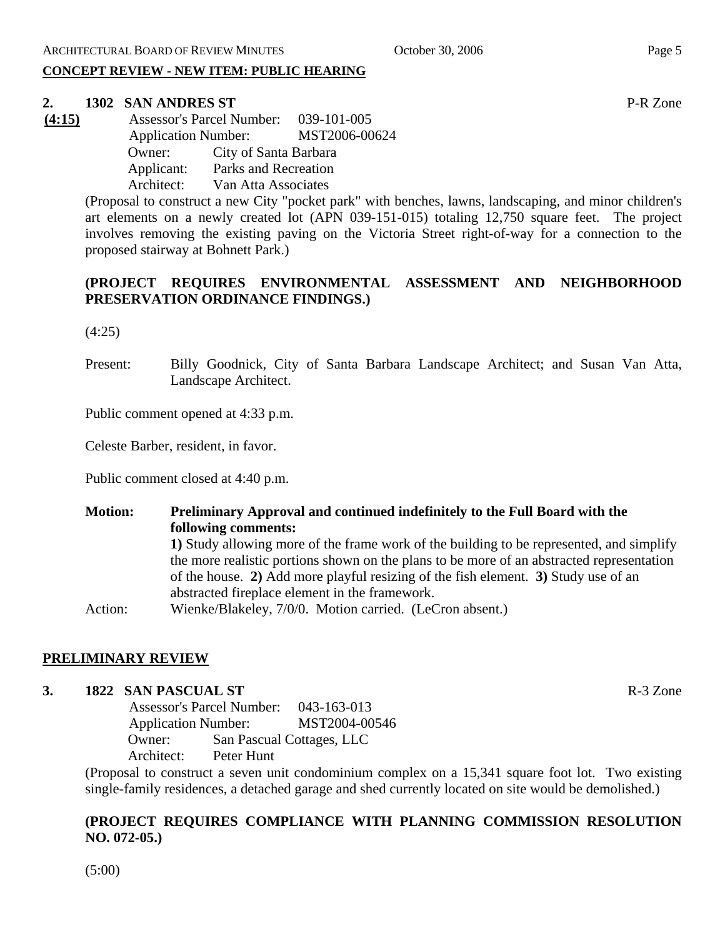#### **CONCEPT REVIEW - NEW ITEM: PUBLIC HEARING**

# **2. 1302 SAN ANDRES ST** P-R Zone

**(4:15)** Assessor's Parcel Number: 039-101-005 Application Number: MST2006-00624 Owner: City of Santa Barbara Applicant: Parks and Recreation Architect: Van Atta Associates

(Proposal to construct a new City "pocket park" with benches, lawns, landscaping, and minor children's art elements on a newly created lot (APN 039-151-015) totaling 12,750 square feet. The project involves removing the existing paving on the Victoria Street right-of-way for a connection to the proposed stairway at Bohnett Park.)

# **(PROJECT REQUIRES ENVIRONMENTAL ASSESSMENT AND NEIGHBORHOOD PRESERVATION ORDINANCE FINDINGS.)**

(4:25)

Present: Billy Goodnick, City of Santa Barbara Landscape Architect; and Susan Van Atta, Landscape Architect.

Public comment opened at 4:33 p.m.

Celeste Barber, resident, in favor.

Public comment closed at 4:40 p.m.

**Motion: Preliminary Approval and continued indefinitely to the Full Board with the following comments: 1)** Study allowing more of the frame work of the building to be represented, and simplify the more realistic portions shown on the plans to be more of an abstracted representation of the house. **2)** Add more playful resizing of the fish element. **3)** Study use of an abstracted fireplace element in the framework. Action: Wienke/Blakeley, 7/0/0. Motion carried. (LeCron absent.)

#### **PRELIMINARY REVIEW**

#### **3. 1822 SAN PASCUAL ST** R-3 Zone

 Assessor's Parcel Number: 043-163-013 Application Number: MST2004-00546 Owner: San Pascual Cottages, LLC Architect: Peter Hunt

(Proposal to construct a seven unit condominium complex on a 15,341 square foot lot. Two existing single-family residences, a detached garage and shed currently located on site would be demolished.)

# **(PROJECT REQUIRES COMPLIANCE WITH PLANNING COMMISSION RESOLUTION NO. 072-05.)**

(5:00)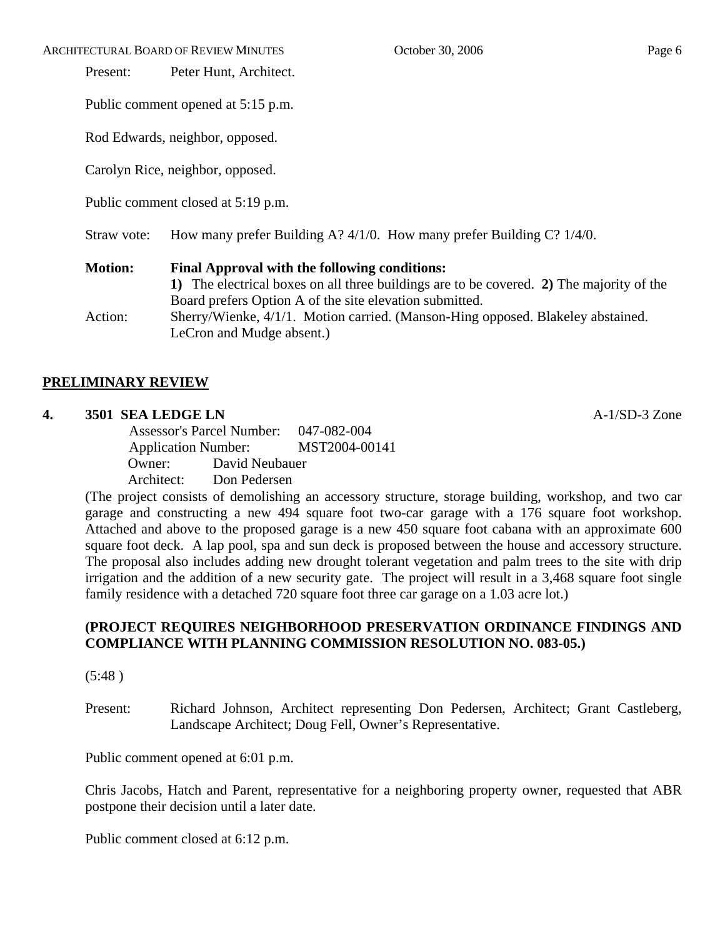ARCHITECTURAL BOARD OF REVIEW MINUTES **October 30, 2006** Page 6

Present: Peter Hunt, Architect.

Public comment opened at 5:15 p.m.

Rod Edwards, neighbor, opposed.

Carolyn Rice, neighbor, opposed.

Public comment closed at 5:19 p.m.

Straw vote: How many prefer Building A? 4/1/0. How many prefer Building C? 1/4/0.

# **Motion: Final Approval with the following conditions: 1)** The electrical boxes on all three buildings are to be covered. **2)** The majority of the Board prefers Option A of the site elevation submitted. Action: Sherry/Wienke, 4/1/1. Motion carried. (Manson-Hing opposed. Blakeley abstained. LeCron and Mudge absent.)

# **PRELIMINARY REVIEW**

## **4. 3501 SEA LEDGE LN** A-1/SD-3 Zone

 Assessor's Parcel Number: 047-082-004 Application Number: MST2004-00141 Owner: David Neubauer Architect: Don Pedersen

(The project consists of demolishing an accessory structure, storage building, workshop, and two car garage and constructing a new 494 square foot two-car garage with a 176 square foot workshop. Attached and above to the proposed garage is a new 450 square foot cabana with an approximate 600 square foot deck. A lap pool, spa and sun deck is proposed between the house and accessory structure. The proposal also includes adding new drought tolerant vegetation and palm trees to the site with drip irrigation and the addition of a new security gate. The project will result in a 3,468 square foot single family residence with a detached 720 square foot three car garage on a 1.03 acre lot.)

# **(PROJECT REQUIRES NEIGHBORHOOD PRESERVATION ORDINANCE FINDINGS AND COMPLIANCE WITH PLANNING COMMISSION RESOLUTION NO. 083-05.)**

(5:48 )

Present: Richard Johnson, Architect representing Don Pedersen, Architect; Grant Castleberg, Landscape Architect; Doug Fell, Owner's Representative.

Public comment opened at 6:01 p.m.

Chris Jacobs, Hatch and Parent, representative for a neighboring property owner, requested that ABR postpone their decision until a later date.

Public comment closed at 6:12 p.m.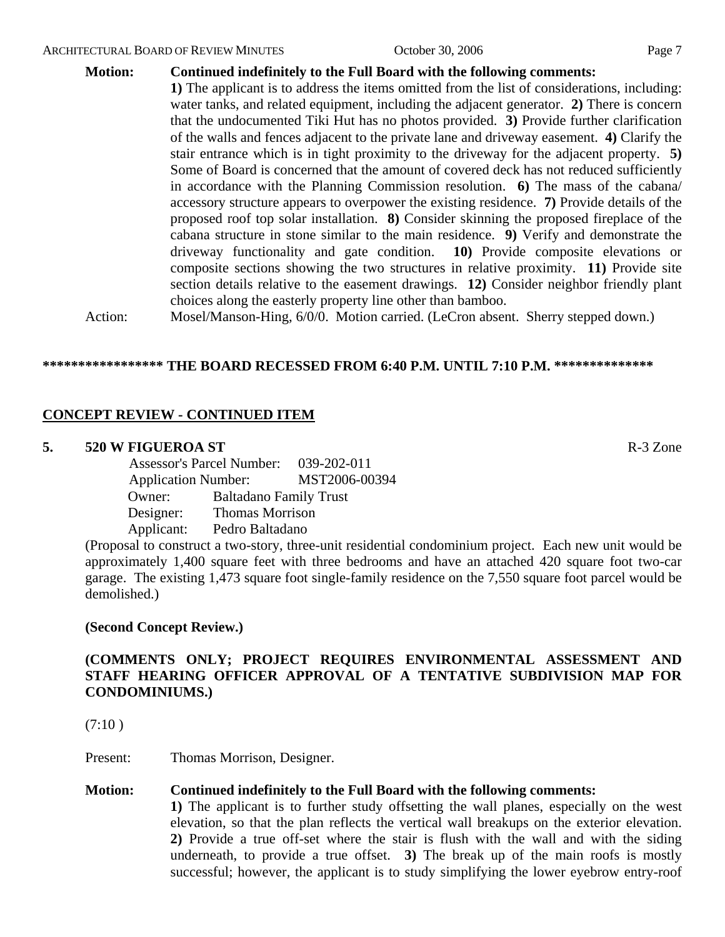#### **Motion: Continued indefinitely to the Full Board with the following comments:**

**1)** The applicant is to address the items omitted from the list of considerations, including: water tanks, and related equipment, including the adjacent generator. **2)** There is concern that the undocumented Tiki Hut has no photos provided. **3)** Provide further clarification of the walls and fences adjacent to the private lane and driveway easement. **4)** Clarify the stair entrance which is in tight proximity to the driveway for the adjacent property. **5)** Some of Board is concerned that the amount of covered deck has not reduced sufficiently in accordance with the Planning Commission resolution. **6)** The mass of the cabana/ accessory structure appears to overpower the existing residence. **7)** Provide details of the proposed roof top solar installation. **8)** Consider skinning the proposed fireplace of the cabana structure in stone similar to the main residence. **9)** Verify and demonstrate the driveway functionality and gate condition. **10)** Provide composite elevations or composite sections showing the two structures in relative proximity. **11)** Provide site section details relative to the easement drawings. **12)** Consider neighbor friendly plant choices along the easterly property line other than bamboo.

Action: Mosel/Manson-Hing, 6/0/0. Motion carried. (LeCron absent. Sherry stepped down.)

### **\*\*\*\*\*\*\*\*\*\*\*\*\*\*\*\*\* THE BOARD RECESSED FROM 6:40 P.M. UNTIL 7:10 P.M. \*\*\*\*\*\*\*\*\*\*\*\*\*\***

## **CONCEPT REVIEW - CONTINUED ITEM**

#### **5. 520 W FIGUEROA ST** R-3 Zone

 Assessor's Parcel Number: 039-202-011 Application Number: MST2006-00394 Owner: Baltadano Family Trust Designer: Thomas Morrison Applicant: Pedro Baltadano

(Proposal to construct a two-story, three-unit residential condominium project. Each new unit would be approximately 1,400 square feet with three bedrooms and have an attached 420 square foot two-car garage. The existing 1,473 square foot single-family residence on the 7,550 square foot parcel would be demolished.)

#### **(Second Concept Review.)**

# **(COMMENTS ONLY; PROJECT REQUIRES ENVIRONMENTAL ASSESSMENT AND STAFF HEARING OFFICER APPROVAL OF A TENTATIVE SUBDIVISION MAP FOR CONDOMINIUMS.)**

 $(7:10)$ 

Present: Thomas Morrison, Designer.

#### **Motion: Continued indefinitely to the Full Board with the following comments:**

**1)** The applicant is to further study offsetting the wall planes, especially on the west elevation, so that the plan reflects the vertical wall breakups on the exterior elevation. **2)** Provide a true off-set where the stair is flush with the wall and with the siding underneath, to provide a true offset. **3)** The break up of the main roofs is mostly successful; however, the applicant is to study simplifying the lower eyebrow entry-roof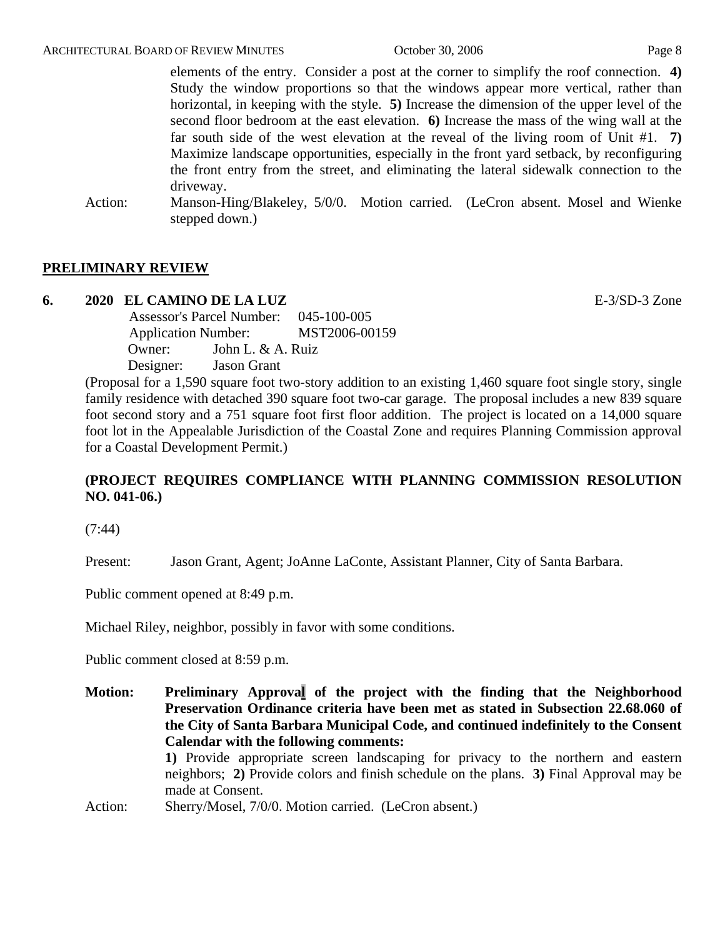elements of the entry. Consider a post at the corner to simplify the roof connection. **4)** Study the window proportions so that the windows appear more vertical, rather than horizontal, in keeping with the style. **5)** Increase the dimension of the upper level of the second floor bedroom at the east elevation. **6)** Increase the mass of the wing wall at the far south side of the west elevation at the reveal of the living room of Unit #1. **7)** Maximize landscape opportunities, especially in the front yard setback, by reconfiguring the front entry from the street, and eliminating the lateral sidewalk connection to the driveway.

Action: Manson-Hing/Blakeley, 5/0/0. Motion carried. (LeCron absent. Mosel and Wienke stepped down.)

# **PRELIMINARY REVIEW**

#### **6. 2020 EL CAMINO DE LA LUZ** E-3/SD-3 Zone

 Assessor's Parcel Number: 045-100-005 Application Number: MST2006-00159 Owner: John L. & A. Ruiz Designer: Jason Grant

(Proposal for a 1,590 square foot two-story addition to an existing 1,460 square foot single story, single family residence with detached 390 square foot two-car garage. The proposal includes a new 839 square foot second story and a 751 square foot first floor addition. The project is located on a 14,000 square foot lot in the Appealable Jurisdiction of the Coastal Zone and requires Planning Commission approval for a Coastal Development Permit.)

# **(PROJECT REQUIRES COMPLIANCE WITH PLANNING COMMISSION RESOLUTION NO. 041-06.)**

(7:44)

Present: Jason Grant, Agent; JoAnne LaConte, Assistant Planner, City of Santa Barbara.

Public comment opened at 8:49 p.m.

Michael Riley, neighbor, possibly in favor with some conditions.

Public comment closed at 8:59 p.m.

**Motion: Preliminary Approval of the project with the finding that the Neighborhood Preservation Ordinance criteria have been met as stated in Subsection 22.68.060 of the City of Santa Barbara Municipal Code, and continued indefinitely to the Consent Calendar with the following comments: 1)** Provide appropriate screen landscaping for privacy to the northern and eastern neighbors; **2)** Provide colors and finish schedule on the plans. **3)** Final Approval may be made at Consent.

Action: Sherry/Mosel, 7/0/0. Motion carried. (LeCron absent.)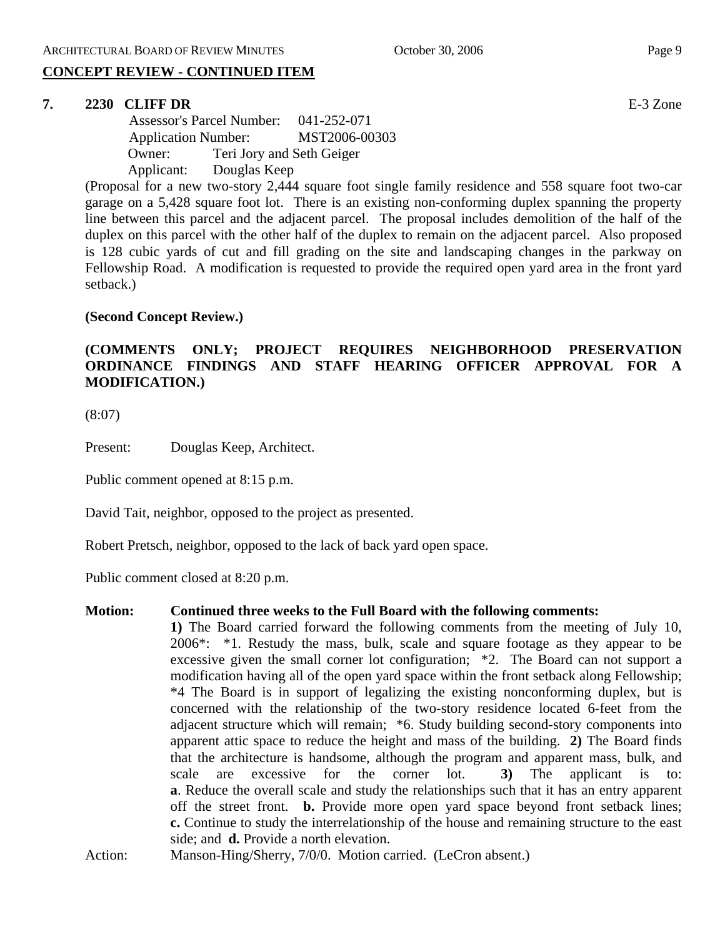# **CONCEPT REVIEW - CONTINUED ITEM**

#### **7. 2230 CLIFF DR** E-3 Zone

 Assessor's Parcel Number: 041-252-071 Application Number: MST2006-00303 Owner: Teri Jory and Seth Geiger Applicant: Douglas Keep

(Proposal for a new two-story 2,444 square foot single family residence and 558 square foot two-car garage on a 5,428 square foot lot. There is an existing non-conforming duplex spanning the property line between this parcel and the adjacent parcel. The proposal includes demolition of the half of the duplex on this parcel with the other half of the duplex to remain on the adjacent parcel. Also proposed is 128 cubic yards of cut and fill grading on the site and landscaping changes in the parkway on Fellowship Road. A modification is requested to provide the required open yard area in the front yard setback.)

#### **(Second Concept Review.)**

# **(COMMENTS ONLY; PROJECT REQUIRES NEIGHBORHOOD PRESERVATION ORDINANCE FINDINGS AND STAFF HEARING OFFICER APPROVAL FOR A MODIFICATION.)**

(8:07)

Present: Douglas Keep, Architect.

Public comment opened at 8:15 p.m.

David Tait, neighbor, opposed to the project as presented.

Robert Pretsch, neighbor, opposed to the lack of back yard open space.

Public comment closed at 8:20 p.m.

#### **Motion: Continued three weeks to the Full Board with the following comments:**

**1)** The Board carried forward the following comments from the meeting of July 10, 2006\*: \*1. Restudy the mass, bulk, scale and square footage as they appear to be excessive given the small corner lot configuration; \*2. The Board can not support a modification having all of the open yard space within the front setback along Fellowship; \*4 The Board is in support of legalizing the existing nonconforming duplex, but is concerned with the relationship of the two-story residence located 6-feet from the adjacent structure which will remain; \*6. Study building second-story components into apparent attic space to reduce the height and mass of the building. **2)** The Board finds that the architecture is handsome, although the program and apparent mass, bulk, and scale are excessive for the corner lot. **3)** The applicant is to: **a**. Reduce the overall scale and study the relationships such that it has an entry apparent off the street front. **b.** Provide more open yard space beyond front setback lines; **c.** Continue to study the interrelationship of the house and remaining structure to the east side; and **d.** Provide a north elevation.

Action: Manson-Hing/Sherry, 7/0/0. Motion carried. (LeCron absent.)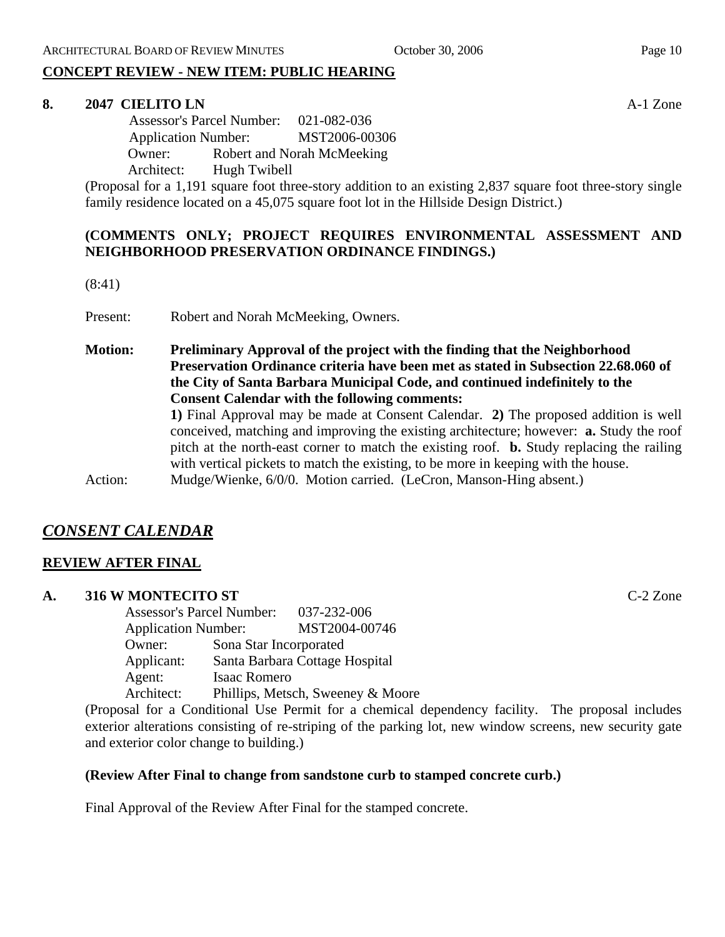# **CONCEPT REVIEW - NEW ITEM: PUBLIC HEARING**

#### **8. 2047 CIELITO LN** A-1 Zone

 Assessor's Parcel Number: 021-082-036 Application Number: MST2006-00306 Owner: Robert and Norah McMeeking Architect: Hugh Twibell

(Proposal for a 1,191 square foot three-story addition to an existing 2,837 square foot three-story single family residence located on a 45,075 square foot lot in the Hillside Design District.)

# **(COMMENTS ONLY; PROJECT REQUIRES ENVIRONMENTAL ASSESSMENT AND NEIGHBORHOOD PRESERVATION ORDINANCE FINDINGS.)**

(8:41)

Present: Robert and Norah McMeeking, Owners.

**Motion: Preliminary Approval of the project with the finding that the Neighborhood Preservation Ordinance criteria have been met as stated in Subsection 22.68.060 of the City of Santa Barbara Municipal Code, and continued indefinitely to the Consent Calendar with the following comments: 1)** Final Approval may be made at Consent Calendar. **2)** The proposed addition is well conceived, matching and improving the existing architecture; however: **a.** Study the roof pitch at the north-east corner to match the existing roof. **b.** Study replacing the railing with vertical pickets to match the existing, to be more in keeping with the house.

Action: Mudge/Wienke, 6/0/0. Motion carried. (LeCron, Manson-Hing absent.)

# *CONSENT CALENDAR*

#### **REVIEW AFTER FINAL**

#### **A. 316 W MONTECITO ST** C-2 Zone

Assessor's Parcel Number: 037-232-006 Application Number: MST2004-00746 Owner: Sona Star Incorporated Applicant: Santa Barbara Cottage Hospital Agent: Isaac Romero Architect: Phillips, Metsch, Sweeney & Moore

(Proposal for a Conditional Use Permit for a chemical dependency facility. The proposal includes exterior alterations consisting of re-striping of the parking lot, new window screens, new security gate and exterior color change to building.)

#### **(Review After Final to change from sandstone curb to stamped concrete curb.)**

Final Approval of the Review After Final for the stamped concrete.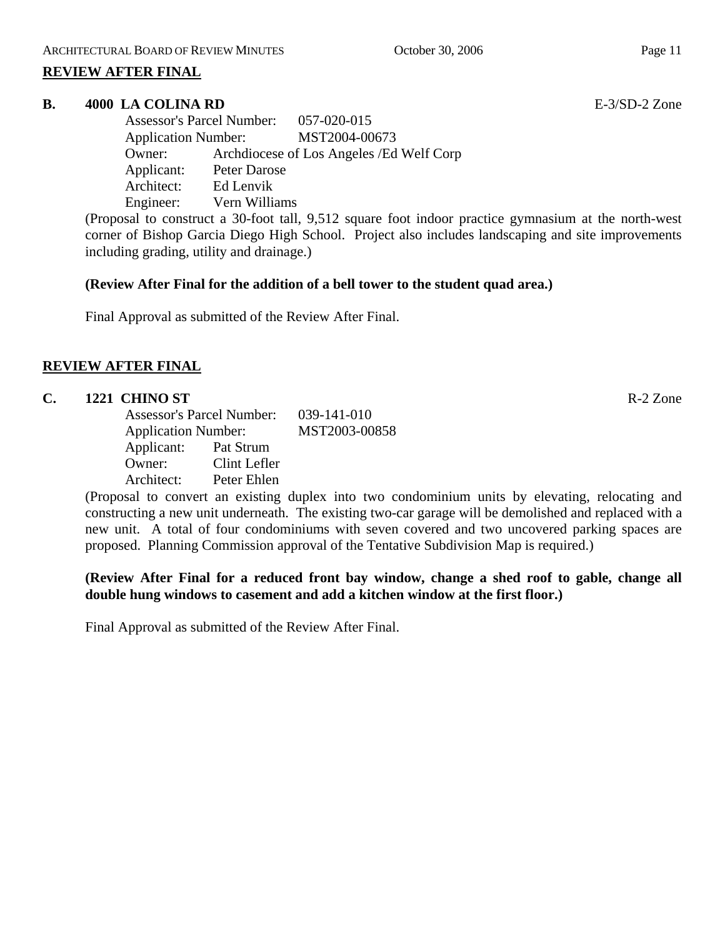### **REVIEW AFTER FINAL**

#### **B.** 4000 LA COLINA RD **E-3/SD-2** Zone

Assessor's Parcel Number: 057-020-015 Application Number: MST2004-00673 Owner: Archdiocese of Los Angeles /Ed Welf Corp Applicant: Peter Darose Architect: Ed Lenvik Engineer: Vern Williams

(Proposal to construct a 30-foot tall, 9,512 square foot indoor practice gymnasium at the north-west corner of Bishop Garcia Diego High School. Project also includes landscaping and site improvements including grading, utility and drainage.)

#### **(Review After Final for the addition of a bell tower to the student quad area.)**

Final Approval as submitted of the Review After Final.

## **REVIEW AFTER FINAL**

# **C. 1221 CHINO ST** R-2 Zone

|            | <b>Assessor's Parcel Number:</b> |  |  |
|------------|----------------------------------|--|--|
|            | <b>Application Number:</b>       |  |  |
| Applicant: | Pat Strum                        |  |  |
| Owner:     | Clint Lefler                     |  |  |
| Architect: | Peter Ehlen                      |  |  |

(Proposal to convert an existing duplex into two condominium units by elevating, relocating and constructing a new unit underneath. The existing two-car garage will be demolished and replaced with a new unit. A total of four condominiums with seven covered and two uncovered parking spaces are proposed. Planning Commission approval of the Tentative Subdivision Map is required.)

## **(Review After Final for a reduced front bay window, change a shed roof to gable, change all double hung windows to casement and add a kitchen window at the first floor.)**

Final Approval as submitted of the Review After Final.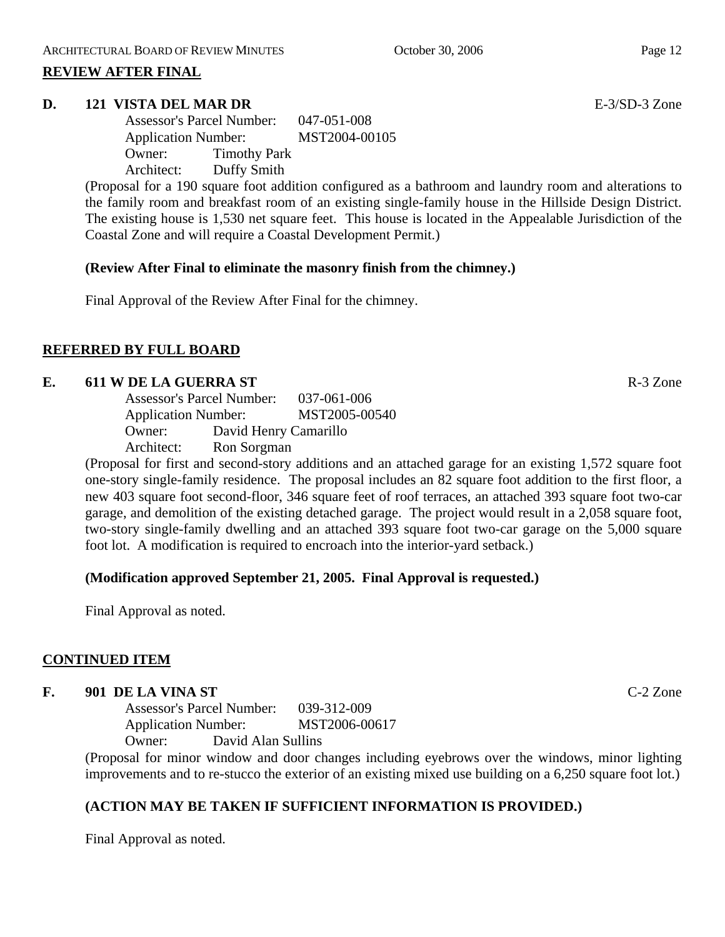### **REVIEW AFTER FINAL**

#### **D. 121 VISTA DEL MAR DR** E-3/SD-3 Zone

Assessor's Parcel Number: 047-051-008 Application Number: MST2004-00105 Owner: Timothy Park Architect: Duffy Smith

(Proposal for a 190 square foot addition configured as a bathroom and laundry room and alterations to the family room and breakfast room of an existing single-family house in the Hillside Design District. The existing house is 1,530 net square feet. This house is located in the Appealable Jurisdiction of the Coastal Zone and will require a Coastal Development Permit.)

#### **(Review After Final to eliminate the masonry finish from the chimney.)**

Final Approval of the Review After Final for the chimney.

## **REFERRED BY FULL BOARD**

#### **E.** 611 W DE LA GUERRA ST **R**-3 Zone

Assessor's Parcel Number: 037-061-006 Application Number: MST2005-00540 Owner: David Henry Camarillo Architect: Ron Sorgman

(Proposal for first and second-story additions and an attached garage for an existing 1,572 square foot one-story single-family residence. The proposal includes an 82 square foot addition to the first floor, a new 403 square foot second-floor, 346 square feet of roof terraces, an attached 393 square foot two-car garage, and demolition of the existing detached garage. The project would result in a 2,058 square foot, two-story single-family dwelling and an attached 393 square foot two-car garage on the 5,000 square foot lot. A modification is required to encroach into the interior-yard setback.)

#### **(Modification approved September 21, 2005. Final Approval is requested.)**

Final Approval as noted.

#### **CONTINUED ITEM**

#### **F. 901 DE LA VINA ST** C-2 Zone

Assessor's Parcel Number: 039-312-009 Application Number: MST2006-00617 Owner: David Alan Sullins

(Proposal for minor window and door changes including eyebrows over the windows, minor lighting improvements and to re-stucco the exterior of an existing mixed use building on a 6,250 square foot lot.)

# **(ACTION MAY BE TAKEN IF SUFFICIENT INFORMATION IS PROVIDED.)**

Final Approval as noted.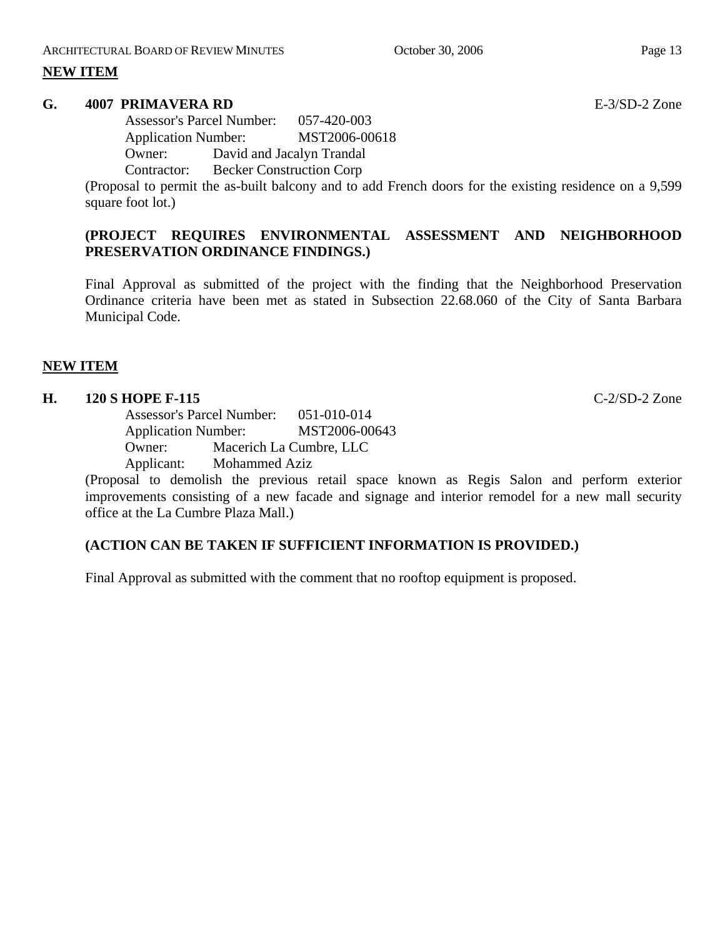#### **G. 4007 PRIMAVERA RD** E-3/SD-2 Zone

Assessor's Parcel Number: 057-420-003 Application Number: MST2006-00618 Owner: David and Jacalyn Trandal Contractor: Becker Construction Corp

(Proposal to permit the as-built balcony and to add French doors for the existing residence on a 9,599 square foot lot.)

# **(PROJECT REQUIRES ENVIRONMENTAL ASSESSMENT AND NEIGHBORHOOD PRESERVATION ORDINANCE FINDINGS.)**

Final Approval as submitted of the project with the finding that the Neighborhood Preservation Ordinance criteria have been met as stated in Subsection 22.68.060 of the City of Santa Barbara Municipal Code.

## **NEW ITEM**

# **H. 120 S HOPE F-115** C-2/SD-2 Zone

Assessor's Parcel Number: 051-010-014 Application Number: MST2006-00643 Owner: Macerich La Cumbre, LLC Applicant: Mohammed Aziz

(Proposal to demolish the previous retail space known as Regis Salon and perform exterior improvements consisting of a new facade and signage and interior remodel for a new mall security office at the La Cumbre Plaza Mall.)

# **(ACTION CAN BE TAKEN IF SUFFICIENT INFORMATION IS PROVIDED.)**

Final Approval as submitted with the comment that no rooftop equipment is proposed.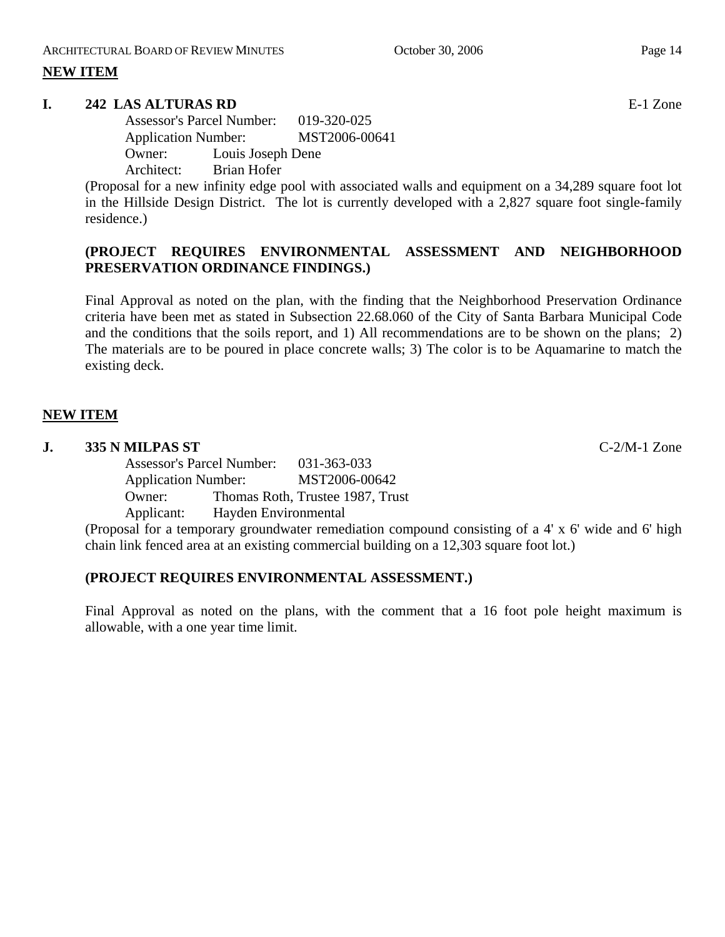## **I. 242 LAS ALTURAS RD** E-1 Zone

Assessor's Parcel Number: 019-320-025 Application Number: MST2006-00641 Owner: Louis Joseph Dene Architect: Brian Hofer

(Proposal for a new infinity edge pool with associated walls and equipment on a 34,289 square foot lot in the Hillside Design District. The lot is currently developed with a 2,827 square foot single-family residence.)

# **(PROJECT REQUIRES ENVIRONMENTAL ASSESSMENT AND NEIGHBORHOOD PRESERVATION ORDINANCE FINDINGS.)**

Final Approval as noted on the plan, with the finding that the Neighborhood Preservation Ordinance criteria have been met as stated in Subsection 22.68.060 of the City of Santa Barbara Municipal Code and the conditions that the soils report, and 1) All recommendations are to be shown on the plans; 2) The materials are to be poured in place concrete walls; 3) The color is to be Aquamarine to match the existing deck.

# **NEW ITEM**

#### **J. 335 N MILPAS ST** C-2/M-1 Zone

Assessor's Parcel Number: 031-363-033 Application Number: MST2006-00642 Owner: Thomas Roth, Trustee 1987, Trust Applicant: Hayden Environmental

(Proposal for a temporary groundwater remediation compound consisting of a 4' x 6' wide and 6' high chain link fenced area at an existing commercial building on a 12,303 square foot lot.)

# **(PROJECT REQUIRES ENVIRONMENTAL ASSESSMENT.)**

Final Approval as noted on the plans, with the comment that a 16 foot pole height maximum is allowable, with a one year time limit.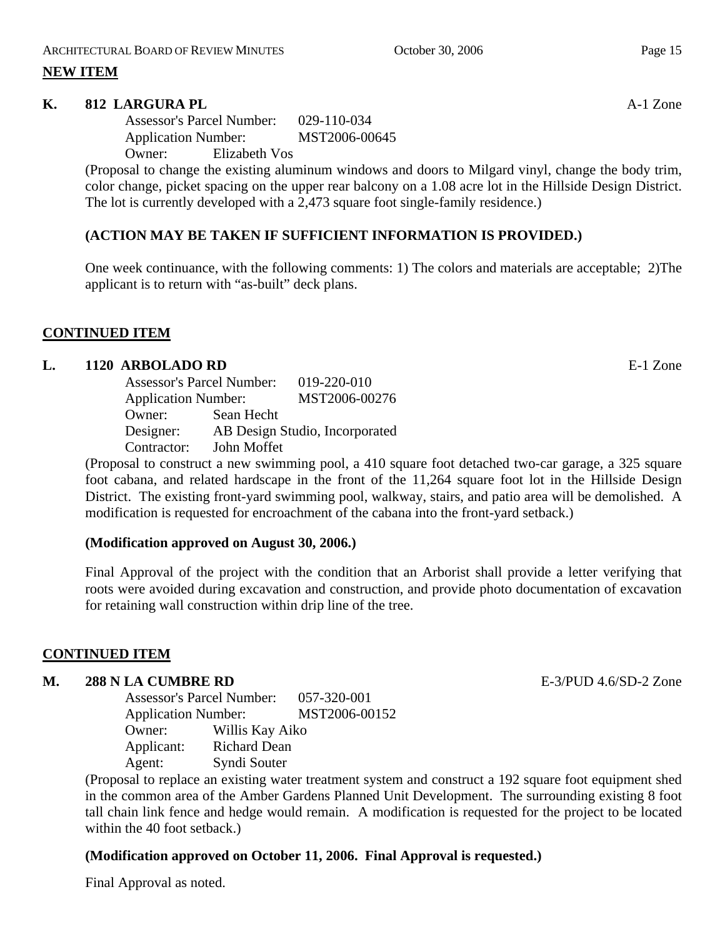#### **K.** 812 LARGURA PL **A-1** Zone

Assessor's Parcel Number: 029-110-034 Application Number: MST2006-00645 Owner: Elizabeth Vos

(Proposal to change the existing aluminum windows and doors to Milgard vinyl, change the body trim, color change, picket spacing on the upper rear balcony on a 1.08 acre lot in the Hillside Design District. The lot is currently developed with a 2,473 square foot single-family residence.)

# **(ACTION MAY BE TAKEN IF SUFFICIENT INFORMATION IS PROVIDED.)**

One week continuance, with the following comments: 1) The colors and materials are acceptable; 2)The applicant is to return with "as-built" deck plans.

## **CONTINUED ITEM**

## **L. 1120 ARBOLADO RD** E-1 Zone

|             | <b>Assessor's Parcel Number:</b> |                                |  |
|-------------|----------------------------------|--------------------------------|--|
|             | <b>Application Number:</b>       |                                |  |
| Owner:      | Sean Hecht                       |                                |  |
| Designer:   |                                  | AB Design Studio, Incorporated |  |
| Contractor: | John Moffet                      |                                |  |

(Proposal to construct a new swimming pool, a 410 square foot detached two-car garage, a 325 square foot cabana, and related hardscape in the front of the 11,264 square foot lot in the Hillside Design District. The existing front-yard swimming pool, walkway, stairs, and patio area will be demolished. A modification is requested for encroachment of the cabana into the front-yard setback.)

#### **(Modification approved on August 30, 2006.)**

Final Approval of the project with the condition that an Arborist shall provide a letter verifying that roots were avoided during excavation and construction, and provide photo documentation of excavation for retaining wall construction within drip line of the tree.

# **CONTINUED ITEM**

#### **M. 288 N LA CUMBRE RD** E-3/PUD 4.6/SD-2 Zone

Assessor's Parcel Number: 057-320-001 Application Number: MST2006-00152 Owner: Willis Kay Aiko Applicant: Richard Dean Agent: Syndi Souter

(Proposal to replace an existing water treatment system and construct a 192 square foot equipment shed in the common area of the Amber Gardens Planned Unit Development. The surrounding existing 8 foot tall chain link fence and hedge would remain. A modification is requested for the project to be located within the 40 foot setback.)

# **(Modification approved on October 11, 2006. Final Approval is requested.)**

Final Approval as noted.